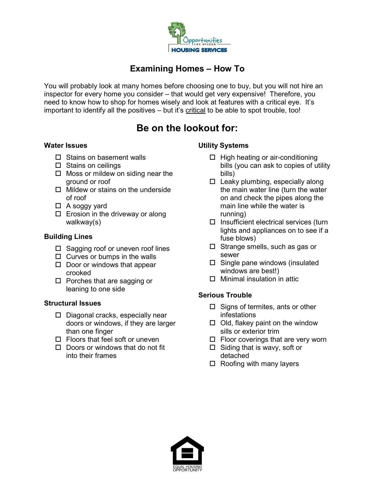

# Examining Homes – How To

You will probably look at many homes before choosing one to buy, but you will not hire an inspector for every home you consider – that would get very expensive! Therefore, you need to know how to shop for homes wisely and look at features with a critical eye. It's important to identify all the positives – but it's critical to be able to spot trouble, too!

# Be on the lookout for:

#### Water Issues

- $\square$  Stains on basement walls
- $\square$  Stains on ceilings
- $\Box$  Moss or mildew on siding near the ground or roof
- $\Box$  Mildew or stains on the underside of roof
- $\Box$  A soggy yard
- $\square$  Erosion in the driveway or along walkway(s)

## Building Lines

- $\square$  Sagging roof or uneven roof lines
- $\Box$  Curves or bumps in the walls
- $\square$  Door or windows that appear crooked
- $\square$  Porches that are sagging or leaning to one side

#### Structural Issues

- $\square$  Diagonal cracks, especially near doors or windows, if they are larger than one finger
- $\square$  Floors that feel soft or uneven
- $\Box$  Doors or windows that do not fit into their frames

# Utility Systems

- $\Box$  High heating or air-conditioning bills (you can ask to copies of utility bills)
- $\Box$  Leaky plumbing, especially along the main water line (turn the water on and check the pipes along the main line while the water is running)
- $\square$  Insufficient electrical services (turn lights and appliances on to see if a fuse blows)
- $\square$  Strange smells, such as gas or sewer
- $\square$  Single pane windows (insulated windows are best!)
- $\Box$  Minimal insulation in attic

## Serious Trouble

- $\Box$  Signs of termites, ants or other infestations
- $\Box$  Old, flakey paint on the window sills or exterior trim
- $\Box$  Floor coverings that are very worn
- $\Box$  Siding that is wavy, soft or detached
- $\Box$  Roofing with many layers